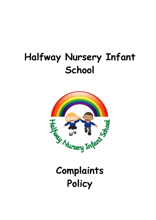# **Halfway Nursery Infant School**



# **Complaints Policy**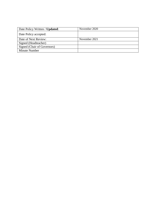| Date Policy Written / Updated: | November 2020 |
|--------------------------------|---------------|
| Date Policy accepted:          |               |
| Date of Next Review:           | November 2021 |
| Signed (Headteacher)           |               |
| Signed (Chair of Governors)    |               |
| Minute Number                  |               |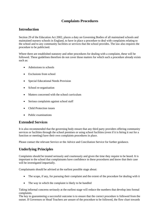# **Complaints Procedures**

# **Introduction**

Section 29 of the Education Act 2002, places a duty on Governing Bodies of all maintained schools and maintained nursery schools in England, to have in place a procedure to deal with complaints relating to the school and to any community facilities or services that the school provides. The law also requires the procedure to be publicised.

Where there are established statutory and other procedures for dealing with a complaint, these will be followed. These guidelines therefore do not cover those matters for which such a procedure already exists such as:

- Admissions to schools
- Exclusions from school
- Special Educational Needs Provision
- School re-organisation
- Matters concerned with the school curriculum
- Serious complaints against school staff
- Child Protection issues
- Public examinations

## **Extended Services**

It is also recommended that the governing body ensure that any third party providers offering community services or facilities through the school premises or using school facilities (even if it is hiring it out for a function or meeting) have their own complaints procedures in place.

Please contact the relevant Service or the Advice and Conciliation Service for further guidance.

# **Underlying Principles**

Complaints should be treated seriously and courteously and given the time they require to be heard. It is important to the school that complainants have confidence in these procedures and know that their case will be investigated impartially.

Complainants should be advised at the earliest possible stage about:

- The scope, if any, for pursuing their complaint and the extent of the procedure for dealing with it
- The way in which the complaint is likely to be handled

Taking informal concerns seriously at the earliest stage will reduce the numbers that develop into formal complaints.

The key to guaranteeing a successful outcome is to ensure that the correct procedure is followed from the outset. If Governors or Head Teachers are unsure of the procedure to be followed, the flow chart towards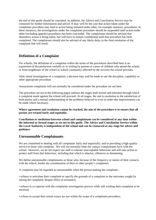the end of this guide should be consulted. In addition, the Advice and Conciliation Service may be contacted for further information and advice. It may well be the case that action taken under the complaints procedure may lead to action being initiated under other, for example statutory, procedures. In these instances, the investigations under the complaints procedure should be suspended until action under other (including appeals) procedures has been concluded. The complainant should be advised that alternative action is being taken, but will have to remain confidential until that procedure has been completed. The complainant should also be advised of any likely delay in the final resolution of the complaint that will result.

## **Definition of a Complaint**

For schools, the definition of a complaint within the terms of the procedures described here is an expression of dissatisfaction verbally or in writing by parents or carers of children who attend the school, or from neighbours of the school or school community affected by the services the school provides.

After initial investigation of a complaint, a decision may well be made to use the discipline, capability or other appropriate procedure.

Anonymous complaints will not normally be considered under the procedure set out here.

The procedure set out in the following pages outlines the stages both formal and informal through which a complaint made against the school will proceed. At all stages, the aim is resolution to the satisfaction of both parties and a mutual understanding of the problems believed to exist in order that improvements can be made where necessary.

**Where agreement and resolution cannot be reached, the aim of the procedure is to ensure that all parties are treated fairly and equitably.**

**Conciliation or mediation between school and complainant can be considered at any time within the informal or formal stages as set out in this guide**. **The Advice and Conciliation Service within the Local Authority is independent of the school and can be contacted at any stage for advice and guidance.**

## **Unreasonable Complainants**

We are committed to dealing with all complaints fairly and impartially, and to providing a high quality service to those who complain. We will not normally limit the contact complainants have with the school. However, we do not expect our staff to tolerate unacceptable behaviour and will take action to protect staff from that behaviour, including that which is abusive, offensive or threatening.

We define unreasonable complainants as those who, because of the frequency or nature of their contacts with the school, hinder the consideration of their or other people's complaints.

A complaint may be regarded as unreasonable when the person making the complaint:-

• refuses to articulate their complaint or specify the grounds of a complaint or the outcomes sought by raising the complaint, despite offers of assistance;

• refuses to co-operate with the complaints investigation process while still wishing their complaint to be resolved;

• refuses to accept that certain issues are not within the scope of a complaints procedure;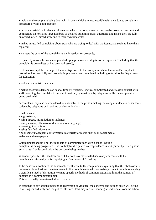• insists on the complaint being dealt with in ways which are incompatible with the adopted complaints procedure or with good practice;

• introduces trivial or irrelevant information which the complainant expects to be taken into account and commented on, or raises large numbers of detailed but unimportant questions, and insists they are fully answered, often immediately and to their own timescales;

• makes unjustified complaints about staff who are trying to deal with the issues, and seeks to have them replaced;

• changes the basis of the complaint as the investigation proceeds;

• repeatedly makes the same complaint (despite previous investigations or responses concluding that the complaint is groundless or has been addressed);

• refuses to accept the findings of the investigation into that complaint where the school's complaint procedure has been fully and properly implemented and completed including referral to the Department for Education;

• seeks an unrealistic outcome;

• makes excessive demands on school time by frequent, lengthy, complicated and stressful contact with staff regarding the complaint in person, in writing, by email and by telephone while the complaint is being dealt with.

A complaint may also be considered unreasonable if the person making the complaint does so either faceto-face, by telephone or in writing or electronically:-

• maliciously;

- aggressively;
- using threats, intimidation or violence;
- using abusive, offensive or discriminatory language;
- knowing it to be false;
- using falsified information;

• publishing unacceptable information in a variety of media such as in social media

websites and newspapers.

Complainants should limit the numbers of communications with a school while a complaint is being progressed. It is not helpful if repeated correspondence is sent (either by letter, phone, email or text) as it could delay the outcome being reached.

Whenever possible, the headteacher or Chair of Governors will discuss any concerns with the complainant informally before applying an 'unreasonable' marking.

If the behaviour continues the headteacher will write to the complainant explaining that their behaviour is unreasonable and asking them to change it. For complainants who excessively contact the school causing a significant level of disruption, we may specify methods of communication and limit the number of contacts in a communication plan.

This will usually be reviewed after 6 months.

In response to any serious incident of aggression or violence, the concerns and actions taken will be put in writing immediately and the police informed. This may include banning an individual from the school.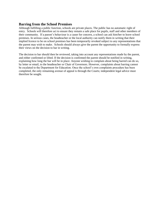## **Barring from the School Premises**

Although fulfilling a public function, schools are private places. The public has no automatic right of entry. Schools will therefore act to ensure they remain a safe place for pupils, staff and other members of their community. If a parent's behaviour is a cause for concern, a school can ask him/her to leave school premises. In serious cases, the headteacher or the local authority can notify them in writing that their implied licence to be on school premises has been temporarily revoked subject to any representations that the parent may wish to make. Schools should always give the parent the opportunity to formally express their views on the decision to bar in writing.

The decision to bar should then be reviewed, taking into account any representations made by the parent, and either confirmed or lifted. If the decision is confirmed the parent should be notified in writing, explaining how long the bar will be in place. Anyone wishing to complain about being barred can do so, by letter or email, to the headteacher or Chair of Governors. However, complaints about barring cannot be escalated to the Department for Education. Once the school's own complaints procedure has been completed, the only remaining avenue of appeal is through the Courts; independent legal advice must therefore be sought.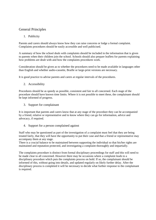## General Principles

#### 1. Publicity

Parents and carers should always know how they can raise concerns or lodge a formal complaint. Complaints procedures should be easily accessible and well publicised.

A summary of how the school deals with complaints should be included in the information that is given to parents when their children join the school. Schools should also prepare leaflets for parents explaining how problems are dealt with and how the complaints procedures work.

Consideration should be given as to whether the procedures need to be made available in languages other than English and whether audio-cassette, Braille or large-print versions are necessary.

It is good practice to advise parents and carers at regular intervals of the procedures.

2. Accessibility

Procedures should be as speedy as possible, consistent and fair to all concerned. Each stage of the procedure should have known time limits. Where it is not possible to meet these, the complainant should be kept informed of progress.

3. Support for complainant

It is important that parents and carers know that at any stage of the procedure they can be accompanied by a friend, relative or representative and to know where they can go for information, advice and advocacy, if required.

4. Support for a person complained against

Staff who may be questioned as part of the investigation of a complaint must feel that they are being treated fairly, that they will have the opportunity to put their case and that a friend or representative may accompany them at any stage.

There is a crucial balance to be maintained between supporting the individual so that his/her rights are maintained and reputation protected, and investigating a complaint thoroughly and impartially.

The complaints procedure is distinct from formal disciplinary proceedings for staff and this will need to be made clear to all concerned. However there may be occasions where a complaint leads to a disciplinary procedure which puts the complaints process on hold. If so, the complainant should be informed of this, without going into details, and updated regularly on likely further delay. After the disciplinary process is completed it will be necessary to decide what further response to the complainant is required.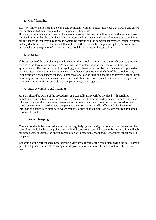#### 5. Confidentiality

It is very important to treat all concerns and complaints with discretion. It is vital that parents and carers feel confident that their complaint will not penalise their child.

However, a complainant will need to be aware that some information will have to be shared with those involved in order that the complaint can be investigated. It is usual to disregard anonymous complaints, but the danger is that they may relate to something serious and the complainant may subsequently surface and say that he/she alerted the school. It should be at the Headteacher or governing body's discretion to decide whether the gravity of an anonymous complaint warrants an investigation.

6. Redress

If the outcome of the complaints procedure shows the school is at fault, it is often sufficient to provide redress in the form of an acknowledgement that the complaint is valid. Alternatively, it may be appropriate to offer one or more of: an apology, an explanation, a promise that the event complained of will not recur, an undertaking to review school policies or practices in the light of the complaint, or, in appropriate circumstances, financial compensation. Fear of litigation should not prevent a school from admitting to parents when mistakes have been made, but it is recommended that advice be sought from the Local Authority if it is possible that the parent might take legal action.

7. Staff Awareness and Training

All staff should be aware of the procedures, as potentially many will be involved with handling complaints, especially at the informal level. To be confident in doing so depends on them having clear information about the procedures, reassurances that senior staff are committed to the procedures and some basic training in dealing with people who are upset or angry. All staff should also have clear information about which staff have which responsibilities so that parents do not get continually passed from one to another.

#### 8. Record Keeping

Complaints should be recorded and monitored regularly by staff and governors. It is recommended that recording should begin at the point when an initial concern or complaint cannot be resolved immediately but needs some investigation and/or consultation with others in school and a subsequent report back to the parent.

Recording at the earliest stage need only be a very basic record of the complaint, giving the date, name of parent and general nature of the complaint. A pro-forma or a 'comments and complaints' book could be used.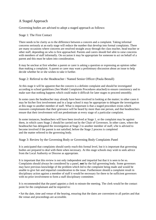## A Staged Approach

Governing bodies are advised to adopt a staged approach as follows:

#### Stage 1: The First Contact

There needs to be clarity as to the difference between a concern and a complaint. Taking informal concerns seriously at an early stage will reduce the number that develop into formal complaints. There are many occasions where concerns are resolved straight away through the class teacher, head teacher or other staff, depending on who is first approached. Parents and carers should feel able to raise concerns with members of staff informally. On occasion it may be appropriate for someone to act on behalf of a parent and this must be taken into consideration.

It may be unclear at first whether a parent or carer is asking a question or expressing an opinion rather than making a complaint. A parent or carer may want a preliminary discussion about an issue to help decide whether he or she wishes to take it further.

#### Stage 2: Referral to the Headteacher / Named Senior Officer (Paula Bestall)

At this stage it will be apparent that the concern is a definite complaint and should be investigated according to school guidelines (See Model Complaints Procedures attached) to ensure consistency and to make sure that nothing happens which could make it difficult for later stages to proceed smoothly.

In some cases the headteacher may already have been involved in looking at the matter; in other cases it may be his/her first involvement and in a large school it may be appropriate to delegate the investigation at this stage to another member of staff. What is important is that a staged procedure exists which reassures complainants that their grievance will be heard by more than one person, and that headteachers ensure that their involvement will not predominate at every stage of a particular complaint.

In some instances, headteachers will have been involved at Stage 1, or the complaint may be against them, in which cases Stage 2 should be carried out by the Chair of Governors. In other cases, where the headteacher has delegated the investigation at Stage 2 to another member of staff, s/he is advised to become involved if the parent is not satisfied, before the Stage 2 process is completed and the matter referred to the governing body.

#### Stage 3: Review by the Governing Body or Governing Body Complaints Panel

It is anticipated that complaints should rarely reach this formal level, but it is important that governing bodies are prepared to deal with them when necessary. At this stage schools may wish to seek advice from the Local Authority or Diocese as appropriate.

It is important that this review is not only independent and impartial but that it is seen to be so. Complaints should always be considered by a panel, **not** by the full governing body. Some governors may have previous knowledge of the problem which led to the complaint being made and would be unable to give fair and impartial consideration to the issue. Furthermore should a complaint result in disciplinary action against a member of staff it would be necessary for there to be sufficient governors with no prior involvement to form a staff disciplinary committee.

It is recommended that the panel appoint a clerk to minute the meeting. The clerk would be the contact point for the complainant and be required to:

• Set the date, time and venue of the hearing, ensuring that the dates are convenient to all parties and that the venue and proceedings are accessible.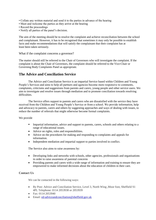- Collate any written material and send it to the parties in advance of the hearing
- Meet and welcome the parties as they arrive at the hearing
- Record the proceedings
- Notify all parties of the panel's decision.

The aim of the meeting should be to resolve the complaint and achieve reconciliation between the school and complainant. However, it has to be recognised that sometimes it may only be possible to establish facts and make recommendations that will satisfy the complainant that their complaint has at least been taken seriously.

What if the complaint concerns a governor?

The matter should still be referred to the Chair of Governors who will investigate the complaint. If the complaint is about the Chair of Governors, the complaint should be referred to the Vice-Chair or Governing Body Complaints Panel as appropriate.

## **The Advice and Conciliation Service**

The Advice and Conciliation Service is an impartial Service based within Children and Young People's Services and aims to help all partners and agencies become more responsive to comments, complaints, criticisms and suggestions from parents and carers, young people and other service users. We aim to investigate and resolve issues through mediation and to promote conciliation towards resolving difficulties.

The Service offers support to parents and carers who are dissatisfied with the service they have received from the Children and Young People's Service or from a school. We provide information, help and advocacy to parents, carers and others by suggesting approaches and ways of dealing with issues, to reduce the number of referrals that might otherwise become formal complaints.

We provide

- **Impartial information, advice and support to parents, carers, schools and others relating to a** range of educational issues.
- Advice on rights, roles and responsibilities.
- Advice on the procedures for making and responding to complaints and appeals for information.
- Independent mediation and impartial support to parties involved in conflict.

The Service also aims to raise awareness by:

- Developing links and networks with schools, other agencies, professionals and organisations in order to raise awareness of parental concerns
- Providing parents and carers with a wide range of information and training to ensure they are empowered to make informed decisions about the education of children in their care.

#### **Contact Us**

We can be contacted in the following ways:

- By Post: Advice and Conciliation Service, Level 3, North Wing ,Moor foot, Sheffield S1 4PL Telephone: 0114 2053938 or 2053939
- $\bullet$  Fax: 0114 2053940
- Email: [ed-adviceandconciliation@sheffield.gov.uk](mailto:ed-adviceandconciliation@sheffield.gov.uk)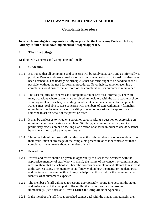# **HALFWAY NURSERY INFANT SCHOOL**

# **Complaints Procedure**

### **In order to investigate complaints as fully as possible, the Governing Body of Halfway Nursery Infant School have implemented a staged approach.**

## **1. The First Stage**

Dealing with Concerns and Complaints Informally

#### **1.1 Guidelines**

- 1.1.1 It is hoped that all complaints and concerns will be resolved as early and as informally as possible. Parents and carers need not only to be listened to but also to feel that they have been listened to. The underlying principle is that concerns ought to be handled, if at all possible, without the need for formal procedures. Nevertheless, anyone receiving a complaint should ensure that a record of the complaint and its outcome is maintained.
- 1.1.2 The vast majority of concerns and complaints can be resolved informally. There are many occasions where concerns are resolved immediately with the class teacher, school secretary or Head Teacher, depending on whom it is parents or carers first approach. Parents must feel able to raise concerns with members of staff without any formality, either in person, by telephone or in writing. It may, on occasions, be appropriate for someone to act on behalf of the parent or carer.
- 1.1.3 It may be unclear as to whether a parent or carer is asking a question or expressing an opinion, rather than making a complaint. Similarly, a parent or carer may want a preliminary discussion or be seeking clarification of an issue in order to decide whether he or she wishes to take the matter further.
- 1.1.4 The school should inform staff that they have the right to advice or representation from their trade union at any stage of the complaints procedure once it becomes clear that a complaint is being made about a member of staff.

#### **1.2. Procedures**

- 1.2.1 Parents and carers should be given an opportunity to discuss their concern with the appropriate member of staff who will clarify the nature of the concern or complaint and reassure them that the school will hear the concern or complaint and attempt to resolve it at the earliest stage. The member of staff may explain how the matter or incident arose and the issues connected with it. It may be helpful at this point for the parent or carer to identify what outcome is expected.
- 1.2.2 The member of staff will need to respond appropriately, taking into account the status and seriousness of the complaint. Hopefully, the matter can then be resolved immediately. (See notes on **'How to Listen to Complaints'** at Appendix 1).
- 1.2.3 If the member of staff first approached cannot deal with the matter immediately, then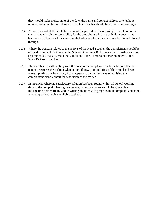they should make a clear note of the date, the name and contact address or telephone number given by the complainant. The Head Teacher should be informed accordingly.

- 1.2.4 All members of staff should be aware of the procedure for referring a complaint to the staff member having responsibility for the area about which a particular concern has been raised. They should also ensure that when a referral has been made, this is followed through.
- 1.2.5 Where the concern relates to the actions of the Head Teacher, the complainant should be advised to contact the Chair of the School Governing Body. In such circumstances, it is recommended that a Governors Complaints Panel comprising three members of the School's Governing Body.
- 1.2.6 The member of staff dealing with the concern or complaint should make sure that the parent or carer is clear about what action, if any, or monitoring of the issue has been agreed, putting this in writing if this appears to be the best way of advising the complainant clearly about the resolution of the matter.
- 1.2.7 In instances where no satisfactory solution has been found within 10 school working days of the complaint having been made, parents or carers should be given clear information both verbally and in writing about how to progress their complaint and about any independent advice available to them.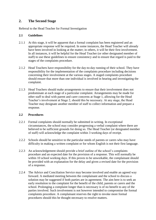# **2. The Second Stage**

Referral to the Head Teacher for Formal Investigation

#### **2.1 Guidelines**

- 2.1.1 At this stage, it will be apparent that a formal complaint has been registered and an appropriate response will be required. In some instances, the Head Teacher will already have been involved in looking at the matter; in others, it will be their first involvement. In all instances, it will be helpful for the Head Teacher (or other designated member of staff) to use these guidelines to ensure consistency and to ensure that regard is paid to the stages of the complaints procedure.
- 2.1.2 Head Teachers have responsibility for the day-to-day running of their school. They have responsibility for the implementation of the complaints procedure including decisions concerning their involvement at the various stages. A staged complaints procedure should ensure that more than one individual is involved in hearing and investigating the complaint.
- 2.1.3 Head Teachers should make arrangements to ensure that their involvement does not predominate at each stage of a particular complaint. Arrangements may be made for other staff to deal with parent and carer concerns at Stage 1, allowing for the Head Teacher's involvement at Stage 2, should this be necessary. At any stage, the Head Teacher may designate another member of staff to collect information and prepare a response.

#### **2.2 Procedures**

- 2.2.1 Formal complaints should normally be submitted in writing. In exceptional circumstances, the school may consider progressing a verbal complaint where there are believed to be sufficient grounds for doing so. The Head Teacher (or designated member of staff) will acknowledge the complaint within 3 working days of receipt.
- 2.2.2 Schools should be sensitive to the particular needs of parents or carers who may have difficulty in making a written complaint or for whom English is not their first language.
- 2.2.3 An acknowledgement should provide a brief outline of the school's complaints procedure and an expected date for the provision of a response. This will normally be within 10 school working days. If this proves to be unworkable, the complainant should be provided with an explanation for the delay and given a revised date for the provision of a response.
- 2.2.4 The Advice and Conciliation Service may become involved and enable an agreed way forward. A mediated meeting between the complainant and the school to discuss a solution may be suggested if both parties are in agreement. The aim here is to seek an early resolution to the complaint for the benefit of the child, parents or carers and the school. Prolonging a complaint longer than is necessary is of no benefit to any of the parties involved. Such involvement is not however intended to compromise the formal complaints procedure. A complainant reserves the right to invoke more formal procedures should this be thought necessary to resolve matters.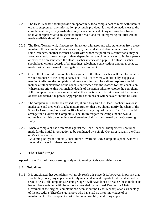- 2.2.5 The Head Teacher should provide an opportunity for a complainant to meet with them in order to supplement any information previously provided. It should be made clear to the complainant that, if they wish, they may be accompanied at any meeting by a friend, relative or representative to speak on their behalf; and that interpreting facilities can be made available should this be necessary.
- 2.2.6 The Head Teacher will, if necessary, interview witnesses and take statements from those involved. If the complaint concerns a pupil, the pupil should also be interviewed. In some instances, another member of staff with whom the pupil feels comfortable may be asked to attend. It may be appropriate, depending on the circumstances, to invite a parent or carer to be present when the Head Teacher interviews a pupil. The Head Teacher should keep written records of all meetings, telephone conversations and other contacts made during the course of investigation of a complaint.
- 2.2.7 Once all relevant information has been gathered, the Head Teacher will then formulate a written response to the complainant. The Head Teacher may, additionally, suggest a meeting to discuss the complaint and seek a resolution. The written response should include a full explanation of the conclusion reached and the reasons for that conclusion. Where appropriate, this will include details of the action taken to resolve the complaint. If the complaint concerns a member of staff and action is to be taken against the member of staff concerned, the phrase 'Appropriate action has or will be taken' should be used.
- 2.2.8 The complainant should be advised that, should they find the Head Teacher's response inadequate and they wish to take matters further, that they should notify the Chair of the School's Governing Body within 10 school working days of receipt. The Chair should arrange for a Governors Complaints Panel to investigate the complaint and would normally chair this panel, unless an alternative chair has designated by the Governing Body.
- 2.2.9 Where a complaint has been made against the Head Teacher, arrangements should be made for the initial investigation to be conducted by a single Governor (usually the Chair or Vice Chair of the Governing Body) or a suitably constituted Governing Body Complaints panel who will undertake Stage 2 of these procedures.

# **3. The Third Stage**

Appeal to the Chair of the Governing Body or Governing Body Complaints Panel

## **3. 1 Guidelines**

3.1.1 It is anticipated that complaints will rarely reach this stage. It is, however, important that should they do so, any appeal is not only independent and impartial but that it should be seen to be so. All complaints reaching Stage 3 will have done so because the complainant has not been satisfied with the response provided by the Head Teacher (or Chair of Governors if the original complaint had been about the Head Teacher) at an earlier stage of the procedure. Therefore, governors who have had no prior knowledge of or involvement in the complaint must as far as is possible, handle any appeal.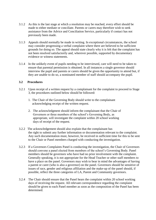- 3.1.2 As this is the last stage at which a resolution may be reached, every effort should be made to either mediate or conciliate. Parents or carers may therefore wish to seek assistance from the Advice and Conciliation Service, particularly if contact has not previously been made.
- 3.1.3 Appeals should normally be made in writing. In exceptional circumstances, the school may consider progressing a verbal complaint where there are believed to be sufficient grounds for doing so. The appeal should state clearly why it is felt that the complaint has not been resolved satisfactorily and, wherever possible, supported by documentary evidence or witness statements.
- 3.1.4 In the unlikely event of pupils needing to be interviewed, care will need to be taken to ensure that parental permission is obtained. In all instances a single governor should interview the pupil and parents or carers should be given the opportunity to attend but, if they are unable to do so, a nominated member of staff should accompany the pupil.

## **3.2 Procedures**

- 3.2.1 Upon receipt of a written request by a complainant for the complaint to proceed to Stage 3, the procedures outlined below should be followed:
	- 1. The Chair of the Governing Body should write to the complainant acknowledging receipt of the written request.
	- 2. The acknowledgment should inform the complainant that the Chair of Governors or three members of the school's Governing Body, as appropriate, will investigate the complaint within 20 school working days of receipt of the request.
- 3.2.2 The acknowledgement should also explain that the complainant has the right to submit any further information or documentation relevant to the complaint. Any such documentation must, however, be received in sufficient time for this to be sent to the Chair or Panel members charged with conducting the investigation.
- 3.2.3 If a Governors Complaints Panel is conducting the investigation, the Chair of Governors should convene a panel elected from members of the school's Governing Body. Panel members should be governors who have had no prior involvement with the complaint. Generally speaking, it is not appropriate for the Head Teacher or other staff members to have a place on the panel. Governors may wish to bear in mind the advantages of having a parent or carer (who is also a governor) on the panel. Governors should be sensitive of issues of race, gender and religious affiliation and the make-up of the panel should, if possible, reflect the three categories of LA, Parent and Community governors.
- 3.2.4 The Chair should ensure that the Panel hears the complaint within 20 school working days of receiving the request. All relevant correspondence regarding the complaint should be given to each Panel member as soon as the composition of the Panel has been determined.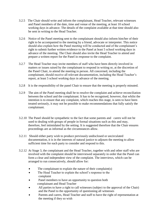- 3.2.5 The Chair should write and inform the complainant, Head Teacher, relevant witnesses and Panel members of the date, time and venue of the meeting, at least 10 school working days in advance. The details of the complaint available at that time should also be sent in writing to the Head Teacher.
- 3.2.6 Notice of the Panel meeting sent to the complainant should also inform him/her of their right to be accompanied to the meeting by a friend, advocate or interpreter. This notice should also explain how the Panel meeting will be conducted and of the complainant's right to submit further written evidence to the Panel at least 5 school working days in advance of the meeting. The Chair should also invite the Head Teacher to attend and prepare a written report for the Panel in response to the complaint.
- 3.2.7 The Head Teacher may invite members of staff who have been directly involved in matters or issues raised by the complainant to respond in writing or, at the discretion of the Panel Chair, to attend the meeting in person. All concerned, including the complainant, should receive all relevant documentation, including the Head Teacher's report, at least 5 school working days in advance of the meeting.
- 3.2.8 It is the responsibility of the panel Chair to ensure that the meeting is properly minuted.
- 3.2.9 The aim of the Panel meeting shall be to resolve the complaint and achieve reconciliation between the school and the complainant. It has to be recognised, however, that whilst the intention is to ensure that any complaint, which reaches this stage, is seen to have been treated seriously, it may not be possible to make recommendations that fully satisfy the complainant.
- 3.2.10 The Panel should be sympathetic to the fact that some parents and carers will not be used to dealing with groups of people in formal situations such as this and may, therefore, feel intimidated by the setting. It is suggested therefore that the Chair ensures proceedings are as informal as the circumstances allow.
- 3.2.11 Should either party wish to produce previously undisclosed or uncirculated documentation, it is in the interests of natural justice to adjourn the meeting to allow sufficient time for each party to consider and respond to this.
- 3.2.12 At Stage 3, the complainant and the Head Teacher, together with and other staff who are involved with the complaint should be interviewed separately in order that the Panel can form a clear and independent view of the complaint. The interviews, which can be arranged to run consecutively, should allow for:
	- The complainant to explain the nature of their complaint(s)
	- The Head Teacher to explain the school's response to the complaint
	- Panel members to have an opportunity to question both complainant and Head Teacher
	- All parties to have a right to call witnesses (subject to the approval of the Chair) and the Panel to the opportunity of questioning all witnesses
	- Parents and carers, Head Teacher and staff to have the right of representation at the meeting if they so wish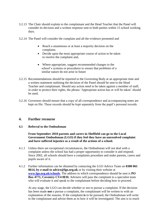- 3.2.13 The Chair should explain to the complainant and the Head Teacher that the Panel will consider its decision and a written response sent to both parties within 15 school working days.
- 3.2.14 The Panel will consider the complain and all the evidence presented and
	- Reach a unanimous or at least a majority decision on the complaint;
	- Decide upon the most appropriate course of action to be taken to resolve the complaint and,
	- Where appropriate, suggest recommended changes to the school's systems or procedures to ensure that problems of a similar nature do not arise in future
- 3.2.15 Recommendations should be reported to the Governing Body at an appropriate time and a written statement outlining the decision of the Panel should be sent to the Head Teacher and complainant. Should any action need to be taken against a member of staff, in order to protect their rights, the phrase 'Appropriate action has or will be taken' should be used.
- 3.2.16 Governors should ensure that a copy of all correspondence and accompanying notes are kept on file. These records should be kept separately from the pupil's personal records.

## **4. Further recourse**

#### **4.1 Referral to the Ombudsman**

**From September 2010 parents and carers in Sheffield can go to the Local Government Ombudsman (LGO) if they feel they have an unresolved complaint and have suffered injustice as a result of the actions of a school.**

- 4.1.1 Unless there are exceptional circumstances, the Ombudsman will not deal with a complaint unless the school has had a proper opportunity to consider it and respond. Since 2002, all schools should have a complaints procedure and make parents, carers and pupils aware of it.
- 4.1.2 Further information can be obtained by contacting the LGO Advice Team on **0300 061 0614, by e-mail to advice@lgo.org.uk** or by visiting their website at **[www.lgo.org.uk/schools.](http://www.lgo.org.uk/schools)** The address to which correspondence should be sent is **PO Box 4771, Coventry CV4 0EH.** Advisers will pass the complaint to a specialist team who will evaluate it and speak to the complainant before deciding how to proceed.

At any stage, the LGO can decide whether or not to pursue a complaint. If the decision has been made **not** o pursue a complaint, the complainant will be written to with an explanation of the reasons. If the complaint **is** to be pursued, the Ombudsman will write to the complainant and advise them as to how it will be investigated. The aim is to reach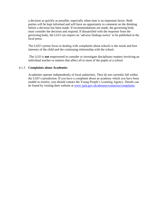a decision as quickly as possible, especially when time is an important factor. Both parties will be kept informed and will have an opportunity to comment on the thinking before a decision has been made. If recommendations are made, the governing body must consider the decision and respond. If dissatisfied with the response from the governing body, the LGO can require an 'adverse findings notice' to be published in the local press.

The LGO's prime focus in dealing with complaints about schools is the needs and best interests of the child and the continuing relationship with the school.

The LGO is **not** empowered to consider or investigate disciplinary matters involving an individual teacher or matters that affect all or most of the pupils at a school.

#### 4.1.3 **Complaints about Academies**

Academies operate independently of local authorities. They do not currently fall within the LGO's jurisdiction. If you have a complaint about an academy which you have been unable to resolve, you should contact the Young People's Learning Agency. Details can be found by visiting their website at www.ypla.gov.uk/aboutus/contactus/complaints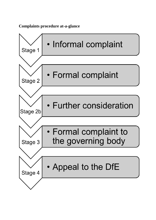**Complaints procedure at-a-glance**

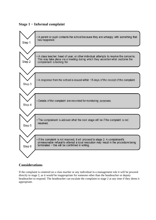## **Stage 1 − Informal complaint**



# **Considerations**

If the complaint is centered on a class teacher or any individual in a management role it will be proceed directly to stage 2, as it would be inappropriate for someone other than the headteacher or deputy headteacher to respond. The headteacher can escalate the complaint to stage 2 at any time if they deem it appropriate.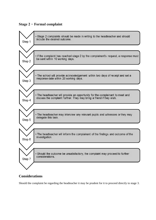## **Stage 2 − Formal complaint**



## **Considerations**

Should the complaint be regarding the headteacher it may be prudent for it to proceed directly to stage 3.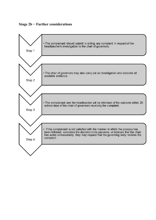## **Stage 2b − Further considerations**

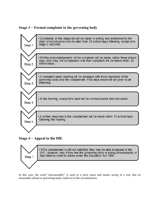## **Stage 3 − Formal complaint to the governing body**







• If the complainant is still not satisfied, they may be able to appeal to the DfE. However, only if they feel the governing body is acting unreasonably or has failed to meet its duties under the Education Act 1996.

In this case, the word "unreasonably" is used in a strict sense and means acting in a way that no reasonable school or governing body could act in the circumstances.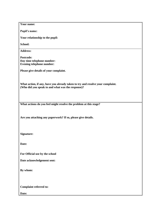| Your name:                                                                                                                          |
|-------------------------------------------------------------------------------------------------------------------------------------|
| Pupil's name:                                                                                                                       |
| Your relationship to the pupil:                                                                                                     |
| School:                                                                                                                             |
| <b>Address:</b>                                                                                                                     |
| Postcode:                                                                                                                           |
| Day time telephone number:                                                                                                          |
| <b>Evening telephone number:</b>                                                                                                    |
| Please give details of your complaint.                                                                                              |
| What action, if any, have you already taken to try and resolve your complaint.<br>(Who did you speak to and what was the response)? |
| What actions do you feel might resolve the problem at this stage?                                                                   |
| Are you attaching any paperwork? If so, please give details.                                                                        |
| Signature:                                                                                                                          |
| Date:                                                                                                                               |
| For Official use by the school                                                                                                      |
| Date acknowledgement sent:                                                                                                          |
| By whom:                                                                                                                            |
| <b>Complaint referred to:</b>                                                                                                       |
| Date:                                                                                                                               |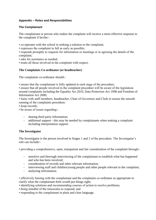### **Appendix – Roles and Responsibilities**

### **The Complainant**

The complainant or person who makes the complaint will receive a more effective response to the complaint if he/she:-

• co-operates with the school in seeking a solution to the complaint;

• expresses the complaint in full as early as possible;

• responds promptly to requests for information or meetings or in agreeing the details of the complaint;

- asks for assistance as needed:
- treats all those involved in the complaint with respect.

#### **The Complaints Co-ordinator (or headteacher)**

The complaints co-ordinator should:-

• ensure that the complainant is fully updated at each stage of the procedure;

• ensure that all people involved in the complaint procedure will be aware of the legislation around complaints including the Equality Act 2010, Data Protection Act 1998 and Freedom of Information Act 2000;

• liaise with staff members, headteacher, Chair of Governors and Clerk to ensure the smooth running of the complaints procedure;

• keep records;

• be aware of issues regarding:-

- sharing third party information;
- additional support this may be needed by complainants when making a complaint including interpretation support.

#### **The Investigator**

The Investigator is the person involved in Stages 1 and 2 of the procedure. The Investigator's role can include:-

• providing a comprehensive, open, transparent and fair consideration of the complaint through:-

- sensitive and thorough interviewing of the complainant to establish what has happened and who has been involved;
- consideration of records and other relevant information;
- interviewing staff and children/young people and other people relevant to the complaint;
- analysing information;

• effectively liaising with the complainant and the complaints co-ordinator as appropriate to clarify what the complainant feels would put things right;

- identifying solutions and recommending courses of action to resolve problems;
- being mindful of the timescales to respond; and
- responding to the complainant in plain and clear language.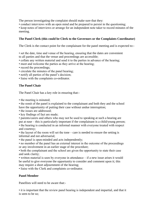The person investigating the complaint should make sure that they:

• conduct interviews with an open mind and be prepared to persist in the questioning;

• keep notes of interviews or arrange for an independent note taker to record minutes of the meeting.

## **The Panel Clerk (this could be Clerk to the Governors or the Complaints Coordinator)**

The Clerk is the contact point for the complainant for the panel meeting and is expected to:-

• set the date, time and venue of the hearing, ensuring that the dates are convenient

- to all parties and that the venue and proceedings are accessible;
- collate any written material and send it to the parties in advance of the hearing;
- meet and welcome the parties as they arrive at the hearing;
- record the proceedings:
- circulate the minutes of the panel hearing;
- notify all parties of the panel's decision;
- liaise with the complaints co-ordinator.

#### **The Panel Chair**

The Panel Chair has a key role in ensuring that:-

• the meeting is minuted;

• the remit of the panel is explained to the complainant and both they and the school have the opportunity of putting their case without undue interruption;

• the issues are addressed:

• key findings of fact are made;

• parents/carers and others who may not be used to speaking at such a hearing are put at ease – this is particularly important if the complainant is a child/young person;

• the hearing is conducted in an informal manner with everyone treated with respect and courtesy;

• the layout of the room will set the tone – care is needed to ensure the setting is informal and not adversarial;

• the panel is open-minded and acts independently;

• no member of the panel has an external interest in the outcome of the proceedings or any involvement in an earlier stage of the procedure;

• both the complainant and the school are given the opportunity to state their case and seek clarity;

• written material is seen by everyone in attendance – if a new issue arises it would be useful to give everyone the opportunity to consider and comment upon it; this may require a short adjournment of the hearing;

• liaise with the Clerk and complaints co-ordinator.

#### **Panel Member**

Panellists will need to be aware that:-

• it is important that the review panel hearing is independent and impartial, and that it is seen to be so;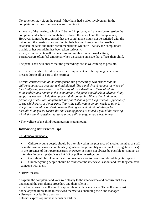No governor may sit on the panel if they have had a prior involvement in the complaint or in the circumstances surrounding it.

• the aim of the hearing, which will be held in private, will always be to resolve the complaint and achieve reconciliation between the school and the complainant; However, it must be recognised that the complainant might not be satisfied with the outcome if the hearing does not find in their favour. It may only be possible to establish the facts and make recommendations which will satisfy the complainant that his or her complaint has been taken seriously.

• many complainants will feel nervous and inhibited in a formal setting; Parents/carers often feel emotional when discussing an issue that affects their child.

The panel chair will ensure that the proceedings are as welcoming as possible.

• extra care needs to be taken when the complainant is a child/young person and present during all or part of the hearing;

*Careful consideration of the atmosphere and proceedings will ensure that the child/young person does not feel intimidated. The panel should respect the views of the child/young person and give them equal consideration to those of adults. If the child/young person is the complainant, the panel should ask in advance if any support is needed to help them present their complaint. Where the child/young person's parent is the complainant, the panel should give the parent the opportunity to say which parts of the hearing, if any, the child/young person needs to attend. The parent should be advised however that agreement might not always be possible if the parent wishes the child/young person to attend a part of the meeting which the panel considers not to be in the child/young person's best interests.*

• The welfare of the child/young person is paramount.

#### **Interviewing Best Practice Tips**

#### Children/young people

 Children/young people should be interviewed in the presence of another member of staff, or in the case of serious complaints (e.g. where the possibility of criminal investigation exists) in the presence of their parents/carers. However, it might not always be possible to conduct an interview in case it prejudices a LADO or police investigation.

- Care should be taken in these circumstances not to create an intimidating atmosphere.
- Children/young people should be told what the interview is about and that they can have someone with them.

#### Staff/Witnesses

• Explain the complaint and your role clearly to the interviewee and confirm that they understand the complaints procedure and their role in it.

- Staff are allowed a colleague to support them at their interview. The colleague must not be anyone likely to be interviewed themselves, including their line manager.
- Use open, not leading questions.
- Do not express opinions in words or attitude.